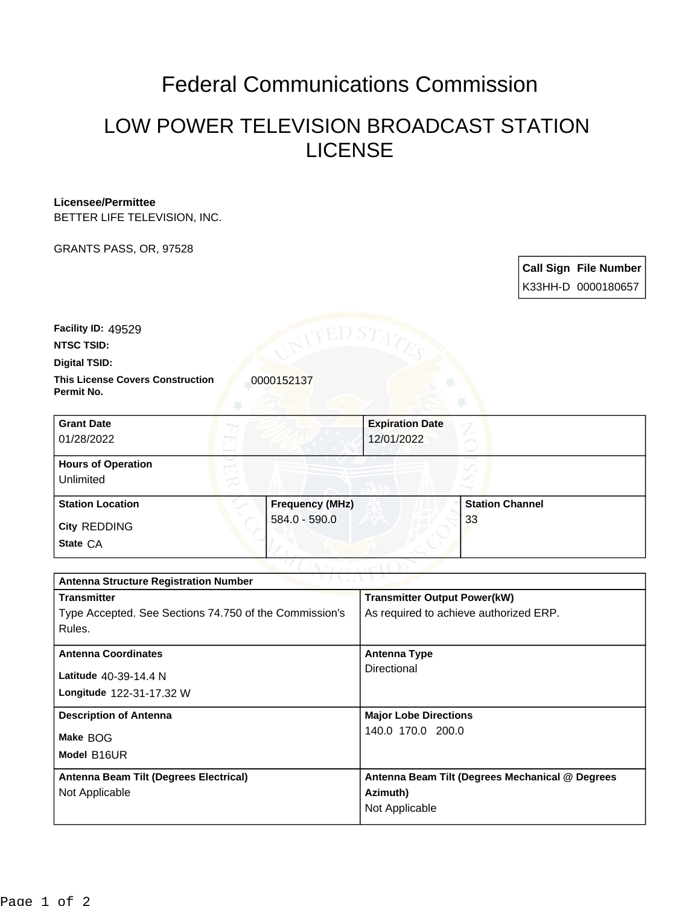## Federal Communications Commission

## LOW POWER TELEVISION BROADCAST STATION LICENSE

## **Licensee/Permittee**

BETTER LIFE TELEVISION, INC.

GRANTS PASS, OR, 97528

**Call Sign File Number** K33HH-D 0000180657

**Facility ID:** 49529

**NTSC TSID:**

**Digital TSID:**

**This License Covers Construction**  0000152137 **Permit No.**

| <b>Grant Date</b><br>01/28/2022        |                        | <b>Expiration Date</b><br>12/01/2022 |                        |  |
|----------------------------------------|------------------------|--------------------------------------|------------------------|--|
| <b>Hours of Operation</b><br>Unlimited |                        |                                      |                        |  |
| <b>Station Location</b>                | <b>Frequency (MHz)</b> |                                      | <b>Station Channel</b> |  |
| <b>City REDDING</b><br>State CA        | $584.0 - 590.0$        |                                      | 33                     |  |

| つりまし パーレン<br><b>Antenna Structure Registration Number</b> |                                                 |  |  |
|-----------------------------------------------------------|-------------------------------------------------|--|--|
| <b>Transmitter</b>                                        | <b>Transmitter Output Power(kW)</b>             |  |  |
| Type Accepted. See Sections 74.750 of the Commission's    | As required to achieve authorized ERP.          |  |  |
| Rules.                                                    |                                                 |  |  |
| <b>Antenna Coordinates</b>                                | <b>Antenna Type</b>                             |  |  |
|                                                           | Directional                                     |  |  |
| Latitude 40-39-14.4 N                                     |                                                 |  |  |
| Longitude 122-31-17.32 W                                  |                                                 |  |  |
| <b>Description of Antenna</b>                             | <b>Major Lobe Directions</b>                    |  |  |
| Make BOG                                                  | 140.0 170.0 200.0                               |  |  |
|                                                           |                                                 |  |  |
| Model B16UR                                               |                                                 |  |  |
| Antenna Beam Tilt (Degrees Electrical)                    | Antenna Beam Tilt (Degrees Mechanical @ Degrees |  |  |
| Not Applicable                                            | Azimuth)                                        |  |  |
|                                                           | Not Applicable                                  |  |  |
|                                                           |                                                 |  |  |